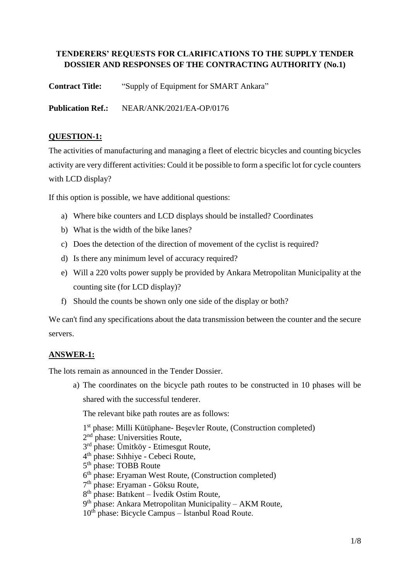# **TENDERERS' REQUESTS FOR CLARIFICATIONS TO THE SUPPLY TENDER DOSSIER AND RESPONSES OF THE CONTRACTING AUTHORITY (No.1)**

**Contract Title:** "Supply of Equipment for SMART Ankara"

**Publication Ref.:** NEAR/ANK/2021/EA-OP/0176

## **QUESTION-1:**

The activities of manufacturing and managing a fleet of electric bicycles and counting bicycles activity are very different activities: Could it be possible to form a specific lot for cycle counters with LCD display?

If this option is possible, we have additional questions:

- a) Where bike counters and LCD displays should be installed? Coordinates
- b) What is the width of the bike lanes?
- c) Does the detection of the direction of movement of the cyclist is required?
- d) Is there any minimum level of accuracy required?
- e) Will a 220 volts power supply be provided by Ankara Metropolitan Municipality at the counting site (for LCD display)?
- f) Should the counts be shown only one side of the display or both?

We can't find any specifications about the data transmission between the counter and the secure servers.

## **ANSWER-1:**

The lots remain as announced in the Tender Dossier.

a) The coordinates on the bicycle path routes to be constructed in 10 phases will be shared with the successful tenderer.

The relevant bike path routes are as follows:

1 st phase: Milli Kütüphane- Beşevler Route, (Construction completed)

- 2<sup>nd</sup> phase: Universities Route,
- 3<sup>rd</sup> phase: Ümitköy Etimesgut Route,
- 4 th phase: Sıhhiye Cebeci Route,
- 5<sup>th</sup> phase: TOBB Route
- 6<sup>th</sup> phase: Eryaman West Route, (Construction completed)
- 7<sup>th</sup> phase: Eryaman Göksu Route,
- 8<sup>th</sup> phase: Batıkent İvedik Ostim Route,
- 9<sup>th</sup> phase: Ankara Metropolitan Municipality AKM Route,
- $10^{th}$  phase: Bicycle Campus İstanbul Road Route.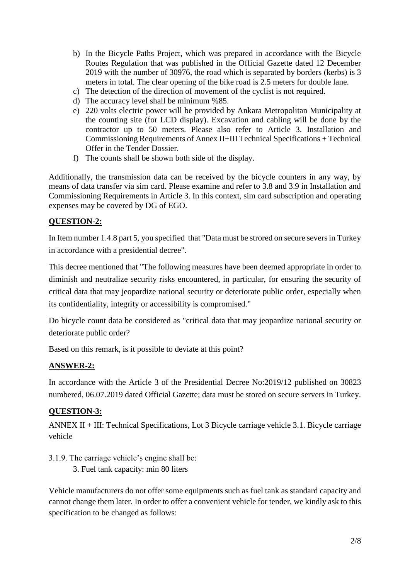- b) In the Bicycle Paths Project, which was prepared in accordance with the Bicycle Routes Regulation that was published in the Official Gazette dated 12 December 2019 with the number of 30976, the road which is separated by borders (kerbs) is 3 meters in total. The clear opening of the bike road is 2.5 meters for double lane.
- c) The detection of the direction of movement of the cyclist is not required.
- d) The accuracy level shall be minimum %85.
- e) 220 volts electric power will be provided by Ankara Metropolitan Municipality at the counting site (for LCD display). Excavation and cabling will be done by the contractor up to 50 meters. Please also refer to Article 3. Installation and Commissioning Requirements of Annex II+III Technical Specifications + Technical Offer in the Tender Dossier.
- f) The counts shall be shown both side of the display.

Additionally, the transmission data can be received by the bicycle counters in any way, by means of data transfer via sim card. Please examine and refer to 3.8 and 3.9 in Installation and Commissioning Requirements in Article 3. In this context, sim card subscription and operating expenses may be covered by DG of EGO.

### **QUESTION-2:**

In Item number 1.4.8 part 5, you specified that "Data must be strored on secure severs in Turkey in accordance with a presidential decree".

This decree mentioned that "The following measures have been deemed appropriate in order to diminish and neutralize security risks encountered, in particular, for ensuring the security of critical data that may jeopardize national security or deteriorate public order, especially when its confidentiality, integrity or accessibility is compromised."

Do bicycle count data be considered as "critical data that may jeopardize national security or deteriorate public order?

Based on this remark, is it possible to deviate at this point?

### **ANSWER-2:**

In accordance with the Article 3 of the Presidential Decree No:2019/12 published on 30823 numbered, 06.07.2019 dated Official Gazette; data must be stored on secure servers in Turkey.

### **QUESTION-3:**

ANNEX II + III: Technical Specifications, Lot 3 Bicycle carriage vehicle 3.1. Bicycle carriage vehicle

3.1.9. The carriage vehicle's engine shall be: 3. Fuel tank capacity: min 80 liters

Vehicle manufacturers do not offer some equipments such as fuel tank as standard capacity and cannot change them later. In order to offer a convenient vehicle for tender, we kindly ask to this specification to be changed as follows: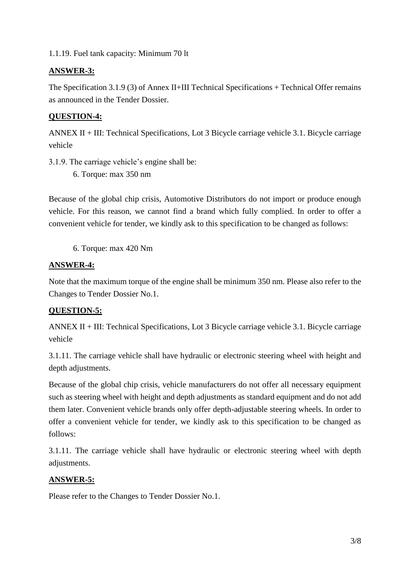1.1.19. Fuel tank capacity: Minimum 70 lt

## **ANSWER-3:**

The Specification 3.1.9 (3) of Annex II+III Technical Specifications + Technical Offer remains as announced in the Tender Dossier.

## **QUESTION-4:**

ANNEX II + III: Technical Specifications, Lot 3 Bicycle carriage vehicle 3.1. Bicycle carriage vehicle

- 3.1.9. The carriage vehicle's engine shall be:
	- 6. Torque: max 350 nm

Because of the global chip crisis, Automotive Distributors do not import or produce enough vehicle. For this reason, we cannot find a brand which fully complied. In order to offer a convenient vehicle for tender, we kindly ask to this specification to be changed as follows:

6. Torque: max 420 Nm

## **ANSWER-4:**

Note that the maximum torque of the engine shall be minimum 350 nm. Please also refer to the Changes to Tender Dossier No.1.

### **QUESTION-5:**

ANNEX II + III: Technical Specifications, Lot 3 Bicycle carriage vehicle 3.1. Bicycle carriage vehicle

3.1.11. The carriage vehicle shall have hydraulic or electronic steering wheel with height and depth adjustments.

Because of the global chip crisis, vehicle manufacturers do not offer all necessary equipment such as steering wheel with height and depth adjustments as standard equipment and do not add them later. Convenient vehicle brands only offer depth-adjustable steering wheels. In order to offer a convenient vehicle for tender, we kindly ask to this specification to be changed as follows:

3.1.11. The carriage vehicle shall have hydraulic or electronic steering wheel with depth adjustments.

## **ANSWER-5:**

Please refer to the Changes to Tender Dossier No.1.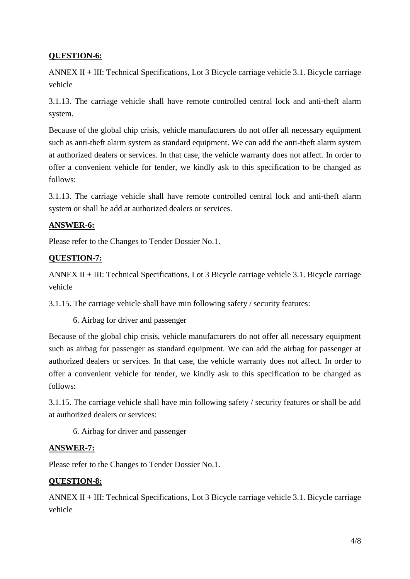## **QUESTION-6:**

ANNEX II + III: Technical Specifications, Lot 3 Bicycle carriage vehicle 3.1. Bicycle carriage vehicle

3.1.13. The carriage vehicle shall have remote controlled central lock and anti-theft alarm system.

Because of the global chip crisis, vehicle manufacturers do not offer all necessary equipment such as anti-theft alarm system as standard equipment. We can add the anti-theft alarm system at authorized dealers or services. In that case, the vehicle warranty does not affect. In order to offer a convenient vehicle for tender, we kindly ask to this specification to be changed as follows:

3.1.13. The carriage vehicle shall have remote controlled central lock and anti-theft alarm system or shall be add at authorized dealers or services.

### **ANSWER-6:**

Please refer to the Changes to Tender Dossier No.1.

## **QUESTION-7:**

ANNEX II + III: Technical Specifications, Lot 3 Bicycle carriage vehicle 3.1. Bicycle carriage vehicle

3.1.15. The carriage vehicle shall have min following safety / security features:

6. Airbag for driver and passenger

Because of the global chip crisis, vehicle manufacturers do not offer all necessary equipment such as airbag for passenger as standard equipment. We can add the airbag for passenger at authorized dealers or services. In that case, the vehicle warranty does not affect. In order to offer a convenient vehicle for tender, we kindly ask to this specification to be changed as follows:

3.1.15. The carriage vehicle shall have min following safety / security features or shall be add at authorized dealers or services:

6. Airbag for driver and passenger

### **ANSWER-7:**

Please refer to the Changes to Tender Dossier No.1.

### **QUESTION-8:**

ANNEX II + III: Technical Specifications, Lot 3 Bicycle carriage vehicle 3.1. Bicycle carriage vehicle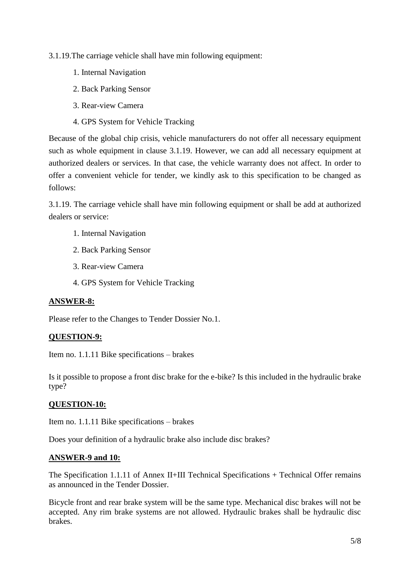3.1.19.The carriage vehicle shall have min following equipment:

- 1. Internal Navigation
- 2. Back Parking Sensor
- 3. Rear-view Camera
- 4. GPS System for Vehicle Tracking

Because of the global chip crisis, vehicle manufacturers do not offer all necessary equipment such as whole equipment in clause 3.1.19. However, we can add all necessary equipment at authorized dealers or services. In that case, the vehicle warranty does not affect. In order to offer a convenient vehicle for tender, we kindly ask to this specification to be changed as follows:

3.1.19. The carriage vehicle shall have min following equipment or shall be add at authorized dealers or service:

- 1. Internal Navigation
- 2. Back Parking Sensor
- 3. Rear-view Camera
- 4. GPS System for Vehicle Tracking

### **ANSWER-8:**

Please refer to the Changes to Tender Dossier No.1.

### **QUESTION-9:**

Item no. 1.1.11 Bike specifications – brakes

Is it possible to propose a front disc brake for the e-bike? Is this included in the hydraulic brake type?

### **QUESTION-10:**

Item no. 1.1.11 Bike specifications – brakes

Does your definition of a hydraulic brake also include disc brakes?

#### **ANSWER-9 and 10:**

The Specification 1.1.11 of Annex II+III Technical Specifications + Technical Offer remains as announced in the Tender Dossier.

Bicycle front and rear brake system will be the same type. Mechanical disc brakes will not be accepted. Any rim brake systems are not allowed. Hydraulic brakes shall be hydraulic disc brakes.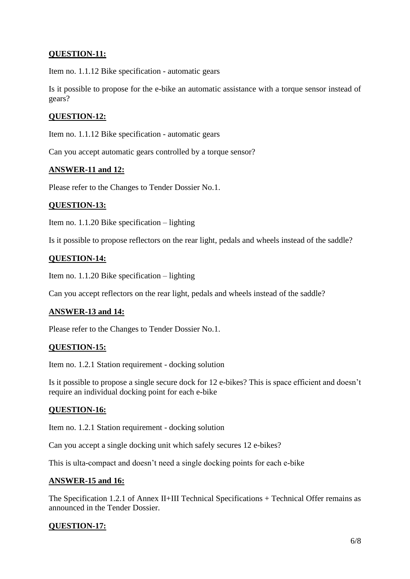## **QUESTION-11:**

Item no. 1.1.12 Bike specification - automatic gears

Is it possible to propose for the e-bike an automatic assistance with a torque sensor instead of gears?

### **QUESTION-12:**

Item no. 1.1.12 Bike specification - automatic gears

Can you accept automatic gears controlled by a torque sensor?

#### **ANSWER-11 and 12:**

Please refer to the Changes to Tender Dossier No.1.

### **QUESTION-13:**

Item no. 1.1.20 Bike specification – lighting

Is it possible to propose reflectors on the rear light, pedals and wheels instead of the saddle?

## **QUESTION-14:**

Item no. 1.1.20 Bike specification – lighting

Can you accept reflectors on the rear light, pedals and wheels instead of the saddle?

### **ANSWER-13 and 14:**

Please refer to the Changes to Tender Dossier No.1.

### **QUESTION-15:**

Item no. 1.2.1 Station requirement - docking solution

Is it possible to propose a single secure dock for 12 e-bikes? This is space efficient and doesn't require an individual docking point for each e-bike

### **QUESTION-16:**

Item no. 1.2.1 Station requirement - docking solution

Can you accept a single docking unit which safely secures 12 e-bikes?

This is ulta-compact and doesn't need a single docking points for each e-bike

#### **ANSWER-15 and 16:**

The Specification 1.2.1 of Annex II+III Technical Specifications + Technical Offer remains as announced in the Tender Dossier.

### **QUESTION-17:**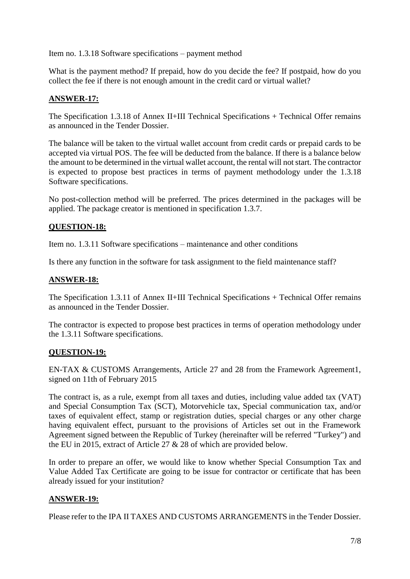Item no. 1.3.18 Software specifications – payment method

What is the payment method? If prepaid, how do you decide the fee? If postpaid, how do you collect the fee if there is not enough amount in the credit card or virtual wallet?

## **ANSWER-17:**

The Specification 1.3.18 of Annex II+III Technical Specifications + Technical Offer remains as announced in the Tender Dossier.

The balance will be taken to the virtual wallet account from credit cards or prepaid cards to be accepted via virtual POS. The fee will be deducted from the balance. If there is a balance below the amount to be determined in the virtual wallet account, the rental will not start. The contractor is expected to propose best practices in terms of payment methodology under the 1.3.18 Software specifications.

No post-collection method will be preferred. The prices determined in the packages will be applied. The package creator is mentioned in specification 1.3.7.

#### **QUESTION-18:**

Item no. 1.3.11 Software specifications – maintenance and other conditions

Is there any function in the software for task assignment to the field maintenance staff?

### **ANSWER-18:**

The Specification 1.3.11 of Annex II+III Technical Specifications + Technical Offer remains as announced in the Tender Dossier.

The contractor is expected to propose best practices in terms of operation methodology under the 1.3.11 Software specifications.

### **QUESTION-19:**

EN-TAX & CUSTOMS Arrangements, Article 27 and 28 from the Framework Agreement1, signed on 11th of February 2015

The contract is, as a rule, exempt from all taxes and duties, including value added tax (VAT) and Special Consumption Tax (SCT), Motorvehicle tax, Special communication tax, and/or taxes of equivalent effect, stamp or registration duties, special charges or any other charge having equivalent effect, pursuant to the provisions of Articles set out in the Framework Agreement signed between the Republic of Turkey (hereinafter will be referred "Turkey") and the EU in 2015, extract of Article 27 & 28 of which are provided below.

In order to prepare an offer, we would like to know whether Special Consumption Tax and Value Added Tax Certificate are going to be issue for contractor or certificate that has been already issued for your institution?

### **ANSWER-19:**

Please refer to the IPA II TAXES AND CUSTOMS ARRANGEMENTS in the Tender Dossier.